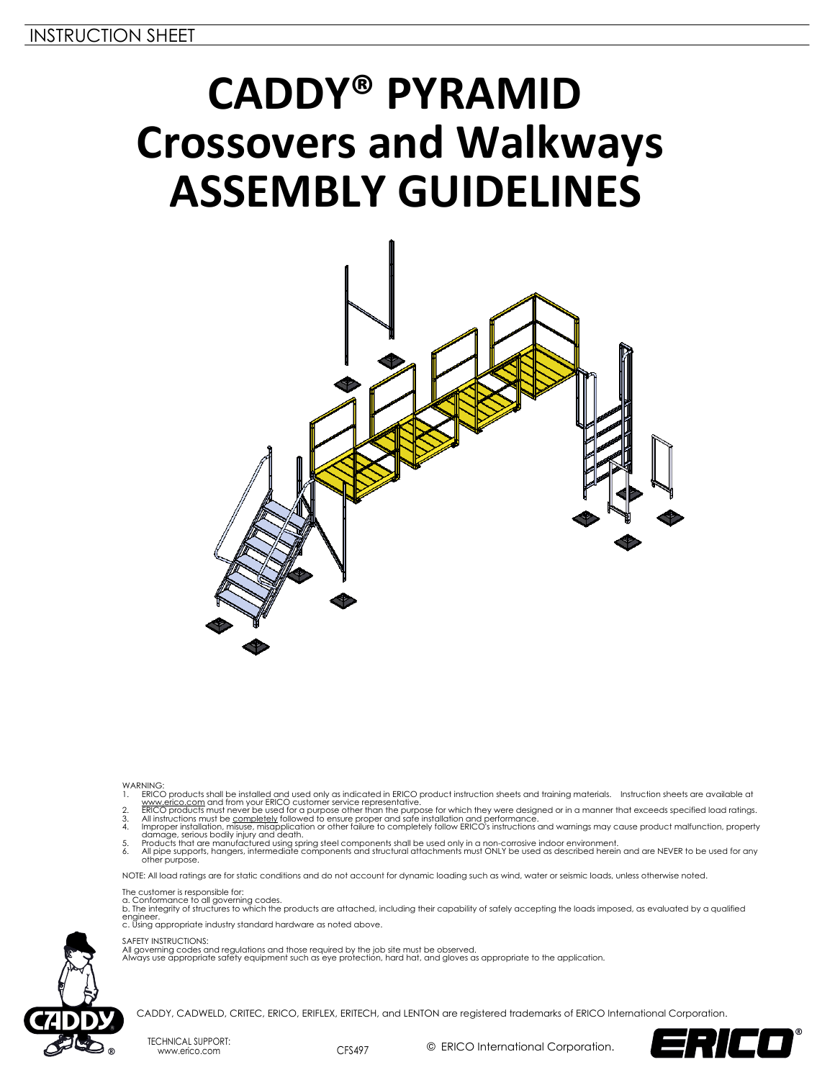# **CADDY® PYRAMID Crossovers and Walkways ASSEMBLY GUIDELINES**



- 
- 
- 
- 
- WARNING.<br>
1. ERICO products shall be installed and used only as indicated in ERICO product instruction sheets and training materials. Instruction sheets are available at<br>
1. <u>www.erico.com</u> and from your ERICO customer ser

NOTE: All load ratings are for static conditions and do not account for dynamic loading such as wind, water or seismic loads, unless otherwise noted.

- The customer is responsible for:<br>a. Conformance to all governing codes.<br>b. The integrity of structures to which the products are attached, including their capability of safely accepting the loads imposed, as evaluated by a
- engineer. c. Using appropriate industry standard hardware as noted above.

SAFETY INSTRUCTIONS:

All governing codes and regulations and those required by the job site must be observed. Always use appropriate safety equipment such as eye protection, hard hat, and gloves as appropriate to the application.



CADDY, CADWELD, CRITEC, ERICO, ERIFLEX, ERITECH, and LENTON are registered trademarks of ERICO International Corporation.

TECHNICAL SUPPORT: www.erico.com CFS497

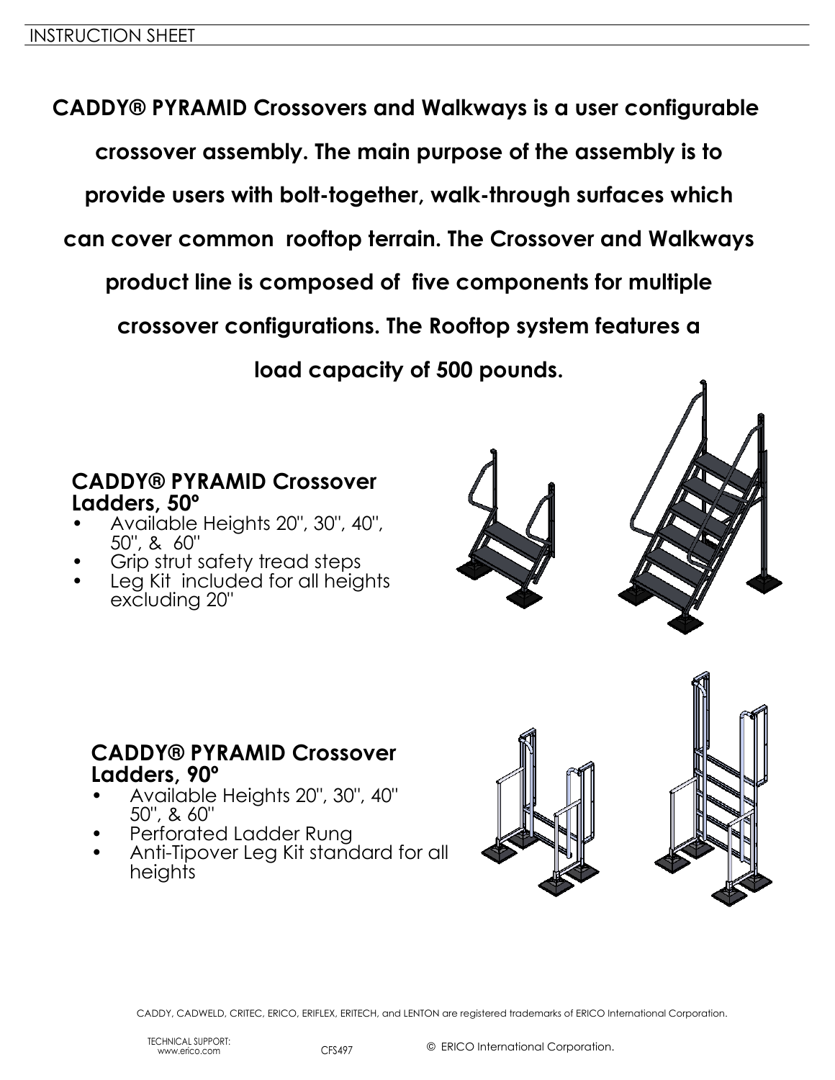**CADDY® PYRAMID Crossovers and Walkways is a user configurable crossover assembly. The main purpose of the assembly is to provide users with bolt-together, walk-through surfaces which can cover common rooftop terrain. The Crossover and Walkways product line is composed of five components for multiple crossover configurations. The Rooftop system features a load capacity of 500 pounds.**

#### **CADDY® PYRAMID Crossover Ladders, 50º**

- Available Heights 20", 30", 40", 50", & 60"
- Grip strut safety tread steps
- Leg Kit included for all heights excluding 20"





#### **CADDY® PYRAMID Crossover Ladders, 90º**

- Available Heights 20", 30", 40" 50", & 60"
- Perforated Ladder Rung
- Anti-Tipover Leg Kit standard for all heights

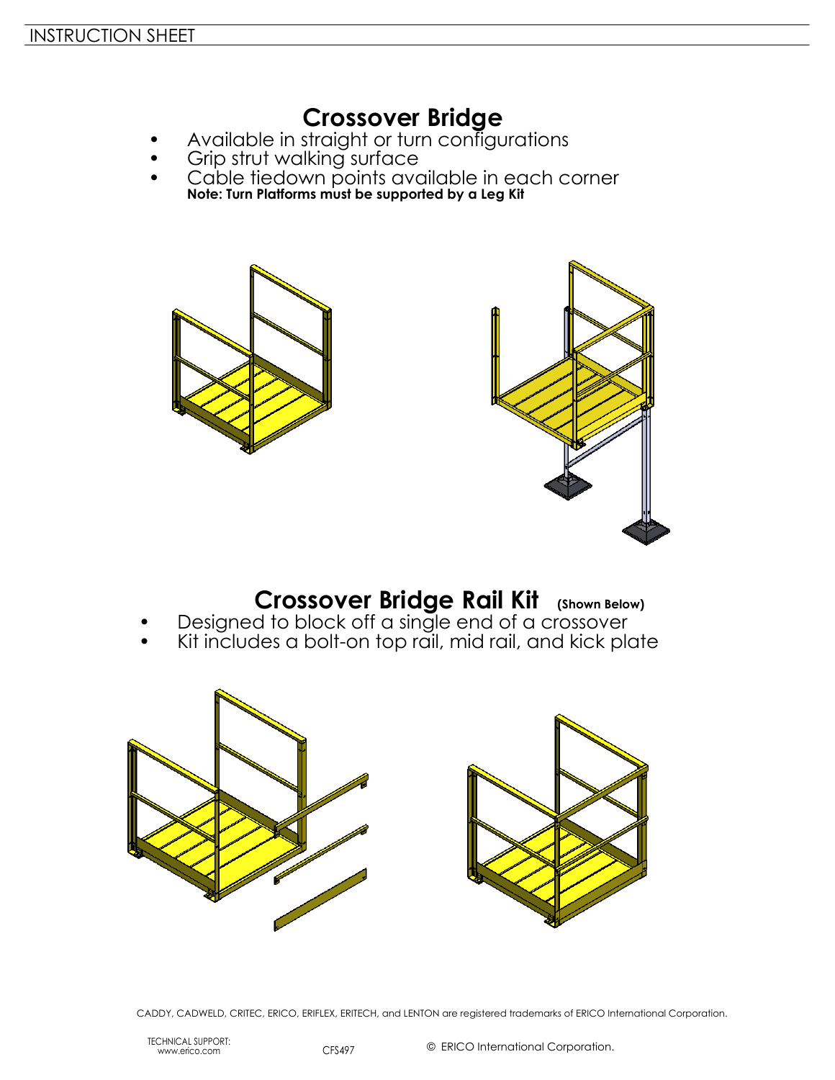## **Crossover Bridge**

- Available in straight or turn configurations
- Grip strut walking surface
- Cable tiedown points available in each corner **Note: Turn Platforms must be supported by a Leg Kit**





### **Crossover Bridge Rail Kit (Shown Below)**

- Designed to block off a single end of a crossover
- Kit includes a bolt-on top rail, mid rail, and kick plate



CADDY, CADWELD, CRITEC, ERICO, ERIFLEX, ERITECH, and LENTON are registered trademarks of ERICO International Corporation.

TECHNICAL SUPPORT: www.erico.com CFS497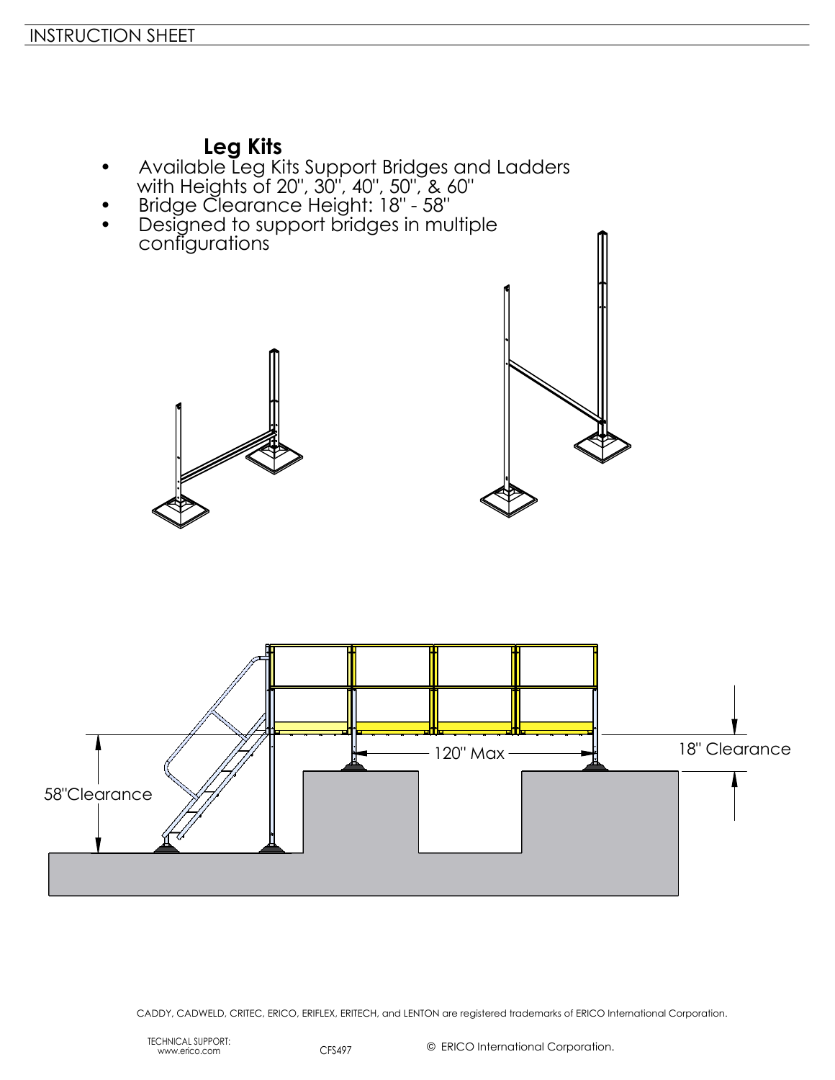#### **Leg Kits**

- Available Leg Kits Support Bridges and Ladders with Heights of 20", 30", 40", 50", & 60"
- Bridge Clearance Height: 18" 58"
- Designed to support bridges in multiple configurations





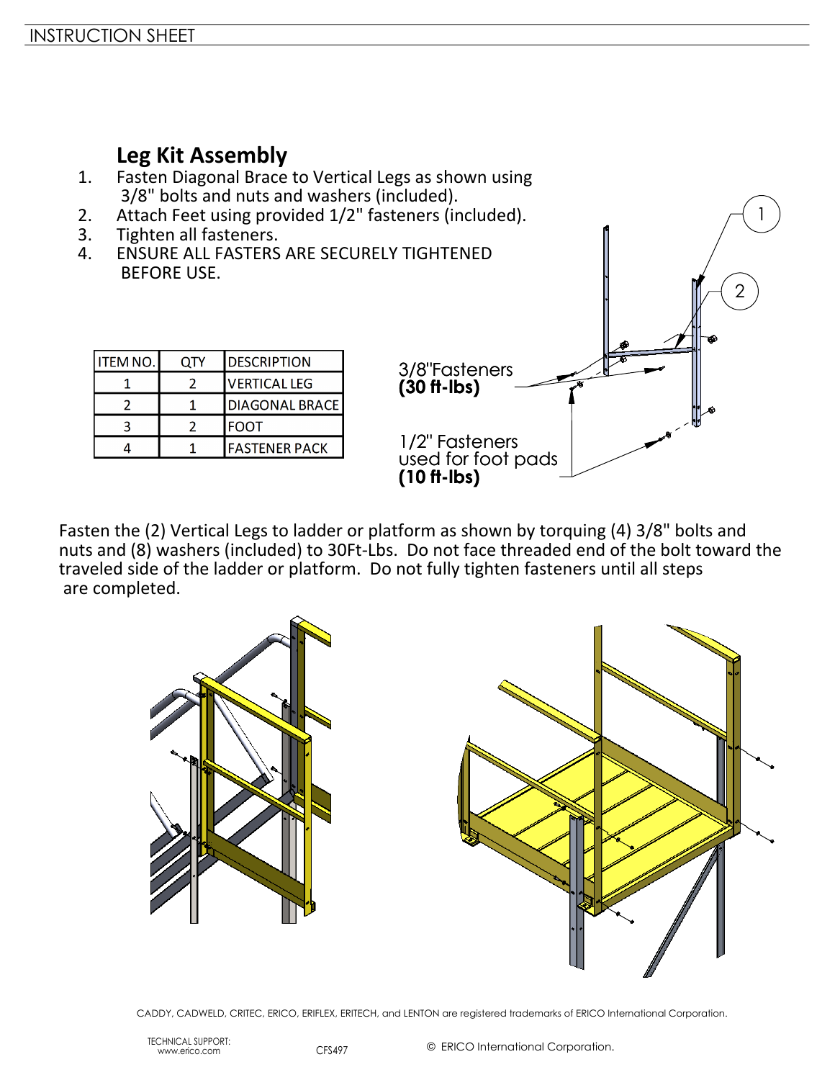#### **Leg Kit Assembly**

- 1. Fasten Diagonal Brace to Vertical Legs as shown using 3/8" bolts and nuts and washers (included).
- 2. Attach Feet using provided 1/2" fasteners (included).<br>3. Tighten all fasteners.
- Tighten all fasteners.
- 4. ENSURE ALL FASTERS ARE SECURELY TIGHTENED BEFORE USE.



1

Fasten the (2) Vertical Legs to ladder or platform as shown by torquing (4) 3/8" bolts and nuts and (8) washers (included) to 30Ft-Lbs. Do not face threaded end of the bolt toward the traveled side of the ladder or platform. Do not fully tighten fasteners until all steps are completed.

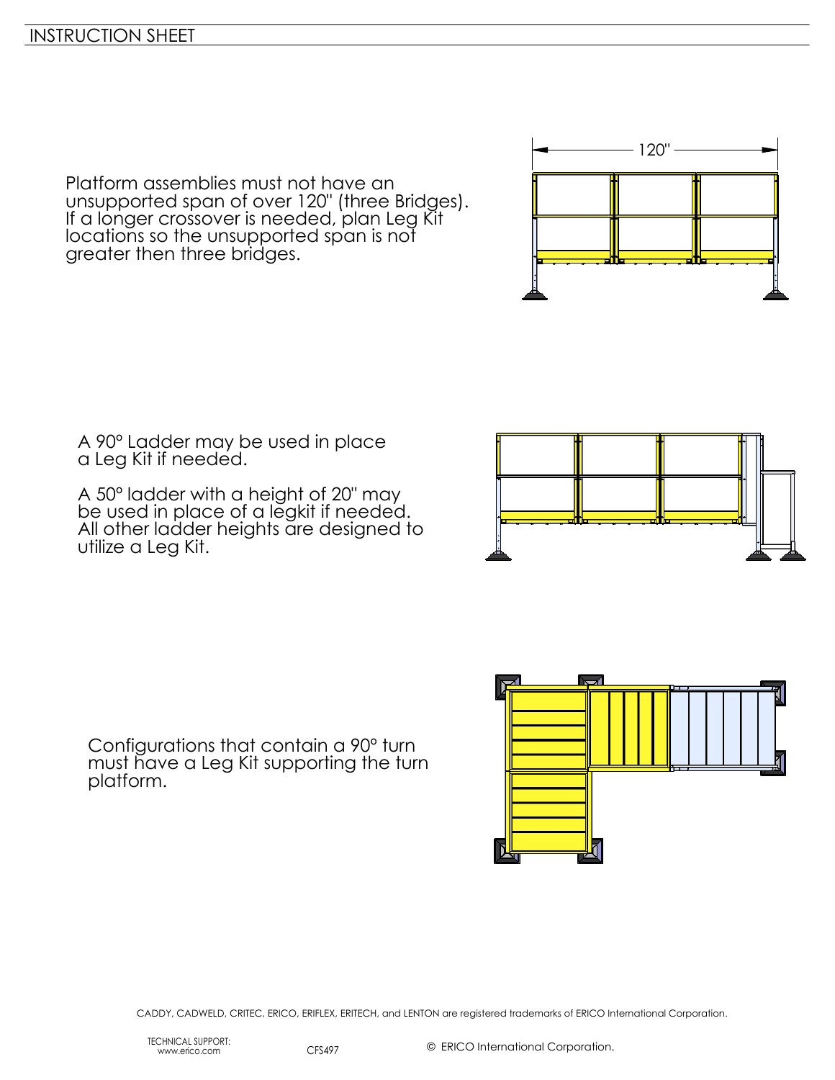Platform assemblies must not have an unsupported span of over 120" (three Bridges). If a longer crossover is needed, plan Leg Kit locations so the unsupported span is not greater then three bridges.

A 90º Ladder may be used in place a Leg Kit if needed.

A 50º ladder with a height of 20" may be used in place of a legkit if needed. All other ladder heights are designed to utilize a Leg Kit.



120"



Configurations that contain a 90º turn must have a Leg Kit supporting the turn platform.

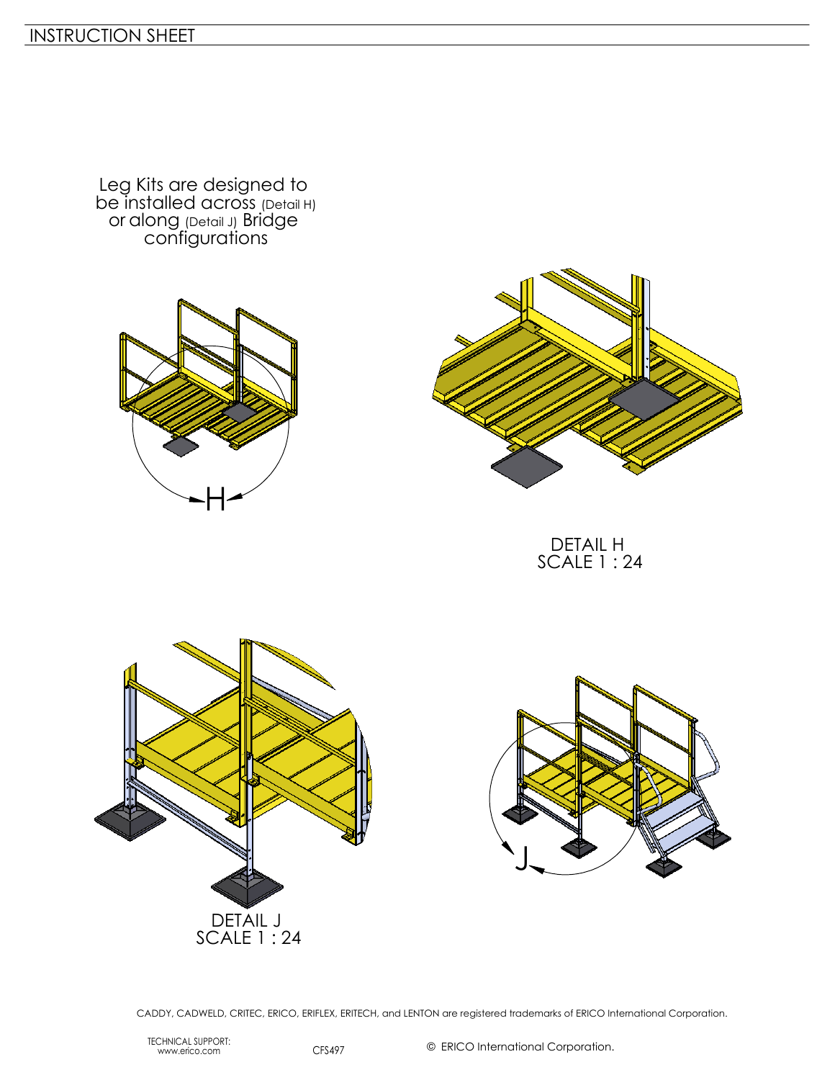Leg Kits are designed to be installed across (Detail H) or along (Detail J) Bridge configurations





DETAIL H SCALE 1 : 24





CADDY, CADWELD, CRITEC, ERICO, ERIFLEX, ERITECH, and LENTON are registered trademarks of ERICO International Corporation.

TECHNICAL SUPPORT: www.erico.com CFS497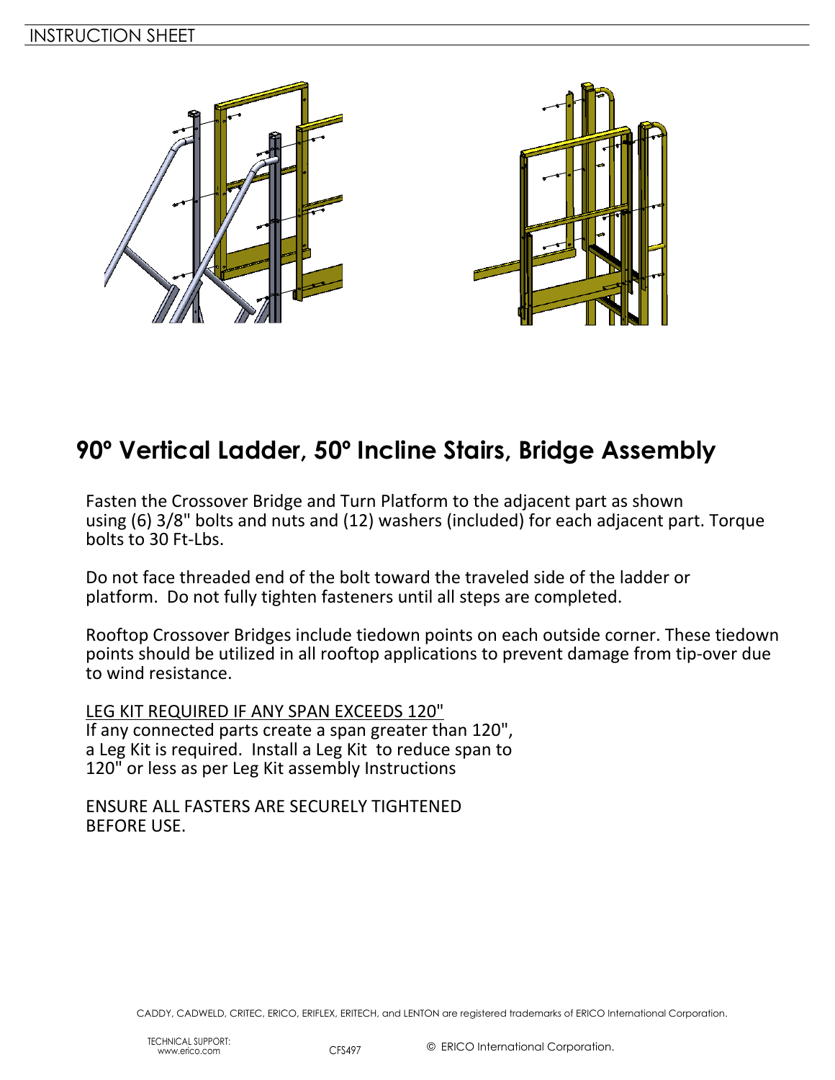

# **90º Vertical Ladder, 50º Incline Stairs, Bridge Assembly**

Fasten the Crossover Bridge and Turn Platform to the adjacent part as shown using (6) 3/8" bolts and nuts and (12) washers (included) for each adjacent part. Torque bolts to 30 Ft-Lbs.

Do not face threaded end of the bolt toward the traveled side of the ladder or platform. Do not fully tighten fasteners until all steps are completed.

Rooftop Crossover Bridges include tiedown points on each outside corner. These tiedown points should be utilized in all rooftop applications to prevent damage from tip-over due to wind resistance.

LEG KIT REQUIRED IF ANY SPAN EXCEEDS 120" If any connected parts create a span greater than 120", a Leg Kit is required. Install a Leg Kit to reduce span to 120" or less as per Leg Kit assembly Instructions

ENSURE ALL FASTERS ARE SECURELY TIGHTENED BEFORE USE.